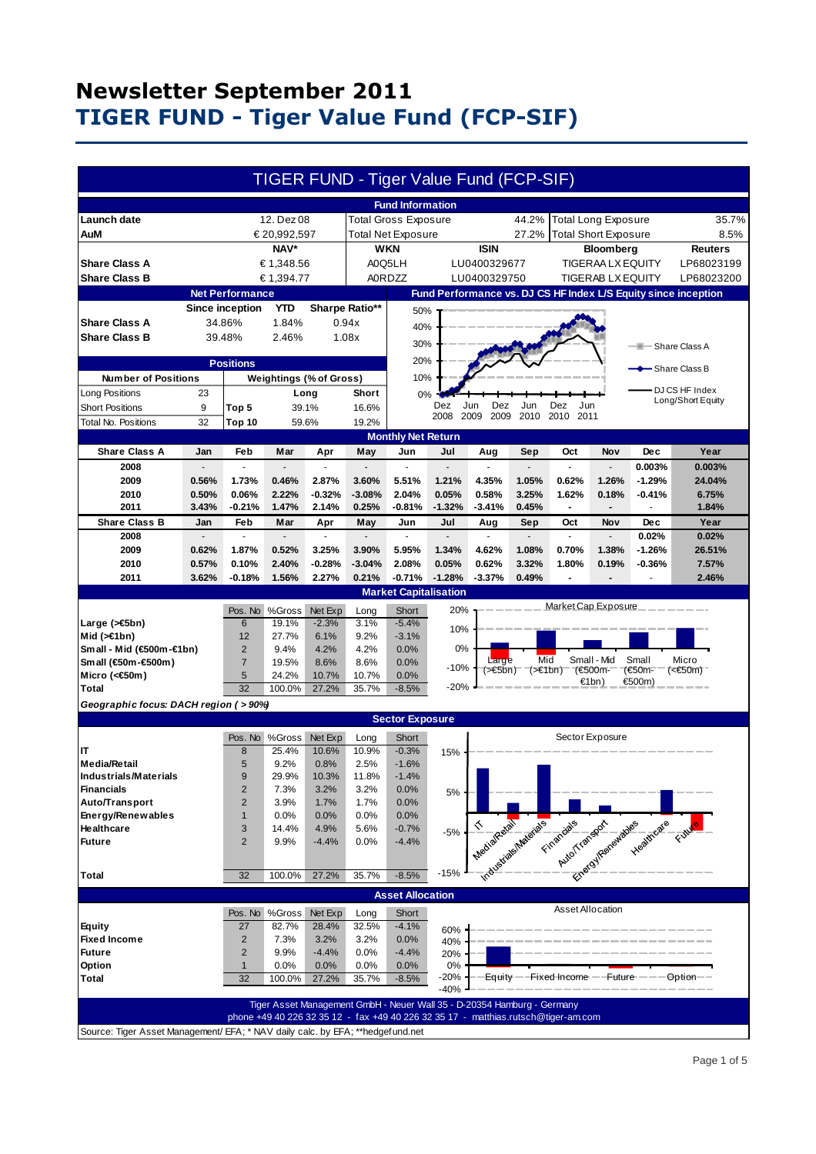|                                                                                  |                |                        |                           |                         |                | TIGER FUND - Tiger Value Fund (FCP-SIF)                                 |                          |                             |                 |                                                                                    |                          |                                                                      |                                                                |
|----------------------------------------------------------------------------------|----------------|------------------------|---------------------------|-------------------------|----------------|-------------------------------------------------------------------------|--------------------------|-----------------------------|-----------------|------------------------------------------------------------------------------------|--------------------------|----------------------------------------------------------------------|----------------------------------------------------------------|
|                                                                                  |                |                        |                           |                         |                | <b>Fund Information</b>                                                 |                          |                             |                 |                                                                                    |                          |                                                                      |                                                                |
| <b>Launch date</b>                                                               |                |                        | 12. Dez 08                |                         |                | <b>Total Gross Exposure</b>                                             |                          |                             | 44.2%           | <b>Total Long Exposure</b>                                                         |                          |                                                                      | 35.7%                                                          |
| AuM                                                                              | € 20,992,597   |                        |                           | Total Net Exposure      |                |                                                                         | 27.2%                    | <b>Total Short Exposure</b> |                 |                                                                                    | 8.5%                     |                                                                      |                                                                |
| NAV*                                                                             |                |                        | <b>WKN</b><br><b>ISIN</b> |                         |                |                                                                         | Bloomberg                |                             |                 |                                                                                    | <b>Reuters</b>           |                                                                      |                                                                |
| € 1,348.56<br><b>Share Class A</b>                                               |                |                        | A0Q5LH<br>LU0400329677    |                         |                |                                                                         | <b>TIGERAA LX EQUITY</b> |                             |                 |                                                                                    | LP68023199               |                                                                      |                                                                |
| <b>Share Class B</b>                                                             |                |                        | € 1,394.77                |                         |                | <b>A0RDZZ</b>                                                           |                          | LU0400329750                |                 |                                                                                    | <b>TIGERAB LX EQUITY</b> |                                                                      | LP68023200                                                     |
|                                                                                  |                | <b>Net Performance</b> |                           |                         |                |                                                                         |                          |                             |                 |                                                                                    |                          |                                                                      | Fund Performance vs. DJ CS HF Index L/S Equity since inception |
|                                                                                  |                | <b>Since inception</b> | <b>YTD</b>                |                         | Sharpe Ratio** |                                                                         |                          |                             |                 |                                                                                    |                          |                                                                      |                                                                |
| <b>Share Class A</b>                                                             |                | 34.86%                 | 1.84%                     |                         | 0.94x          | 50%                                                                     |                          |                             |                 |                                                                                    |                          |                                                                      |                                                                |
| <b>Share Class B</b>                                                             | 39.48%         |                        | 2.46%                     |                         | 40%<br>1.08x   |                                                                         |                          |                             |                 |                                                                                    |                          |                                                                      |                                                                |
|                                                                                  |                |                        |                           |                         |                | 30%                                                                     |                          |                             |                 |                                                                                    |                          | - Share Class A                                                      |                                                                |
|                                                                                  |                | <b>Positions</b>       |                           |                         |                | 20%                                                                     |                          |                             |                 |                                                                                    |                          |                                                                      |                                                                |
| <b>Number of Positions</b>                                                       |                |                        |                           | Weightings (% of Gross) |                | 10%                                                                     |                          |                             |                 |                                                                                    |                          |                                                                      | - Share Class B                                                |
| Long Positions                                                                   | 23             |                        |                           | Long                    | Short          | 0%                                                                      |                          |                             |                 |                                                                                    |                          |                                                                      | DJ CS HF Index                                                 |
| <b>Short Positions</b>                                                           | 9              | Top 5                  |                           | 39.1%                   | 16.6%          |                                                                         | Dez                      | Dez<br>Jun                  | Jun             | Dez<br>Jun                                                                         |                          |                                                                      | Long/Short Equity                                              |
| Total No. Positions                                                              | 32             | Top 10                 |                           | 59.6%                   | 19.2%          |                                                                         | 2008                     | 2009<br>2009                | 2010            | 2010<br>2011                                                                       |                          |                                                                      |                                                                |
|                                                                                  |                |                        |                           |                         |                | <b>Monthly Net Return</b>                                               |                          |                             |                 |                                                                                    |                          |                                                                      |                                                                |
| <b>Share Class A</b>                                                             | Jan            | Feb                    | Mar                       | Apr                     | May            | Jun                                                                     | Jul                      | Aug                         | Sep             | Oct                                                                                | Nov                      | Dec                                                                  | Year                                                           |
| 2008                                                                             |                | ä,                     |                           |                         |                | ÷.                                                                      |                          |                             | $\blacksquare$  | ä,                                                                                 | $\overline{\phantom{a}}$ | 0.003%                                                               | 0.003%                                                         |
| 2009                                                                             | 0.56%          | 1.73%                  | 0.46%                     | 2.87%                   | 3.60%          | 5.51%                                                                   | 1.21%                    | 4.35%                       | 1.05%           | 0.62%                                                                              | 1.26%                    | $-1.29%$                                                             | 24.04%                                                         |
| 2010                                                                             | 0.50%          | 0.06%                  | 2.22%                     | $-0.32%$                | $-3.08%$       | 2.04%                                                                   | 0.05%                    | 0.58%                       | 3.25%           | 1.62%                                                                              | 0.18%                    | $-0.41%$                                                             | 6.75%                                                          |
| 2011                                                                             | 3.43%          | -0.21%                 | 1.47%                     | 2.14%                   | 0.25%          | $-0.81%$                                                                | $-1.32%$                 | $-3.41%$                    | 0.45%           | $\blacksquare$                                                                     | $\blacksquare$           |                                                                      | 1.84%                                                          |
| <b>Share Class B</b>                                                             | Jan            | Feb                    | Mar                       | Apr                     | May            | Jun                                                                     | Jul                      | Aug                         | Sep             | Oct                                                                                | Nov                      | <b>Dec</b>                                                           | Year                                                           |
| 2008                                                                             | $\overline{a}$ | L.                     | $\overline{a}$            | $\mathbf{r}$            |                | $\mathbf{r}$                                                            | $\overline{a}$           | $\blacksquare$              | ÷.              | ÷,                                                                                 | $\overline{\phantom{a}}$ | 0.02%                                                                | 0.02%                                                          |
| 2009                                                                             | 0.62%          | 1.87%                  | 0.52%                     | 3.25%                   | 3.90%          | 5.95%                                                                   | 1.34%                    | 4.62%                       | 1.08%           | 0.70%                                                                              | 1.38%                    | $-1.26%$                                                             | 26.51%                                                         |
| 2010                                                                             | 0.57%          | 0.10%                  | 2.40%                     | $-0.28%$                | $-3.04%$       | 2.08%                                                                   | 0.05%                    | 0.62%                       | 3.32%           | 1.80%                                                                              | 0.19%                    | $-0.36%$                                                             | 7.57%                                                          |
| 2011                                                                             | 3.62%          | $-0.18%$               | 1.56%                     | 2.27%                   | 0.21%          | $-0.71%$                                                                | $-1.28%$                 | $-3.37%$                    | 0.49%           | $\overline{a}$                                                                     |                          |                                                                      | 2.46%                                                          |
| <b>Market Capitalisation</b>                                                     |                |                        |                           |                         |                |                                                                         |                          |                             |                 |                                                                                    |                          |                                                                      |                                                                |
|                                                                                  |                | Pos. No                | %Gross                    | Net Exp                 | Long           | Short                                                                   | 20%                      |                             |                 | Market Cap Exposure                                                                |                          |                                                                      |                                                                |
| Large (>€5bn)                                                                    |                | $6\phantom{1}6$        | 19.1%                     | $-2.3%$                 | 3.1%           | $-5.4%$                                                                 | 10%                      |                             |                 |                                                                                    |                          |                                                                      |                                                                |
| Mid $($ > $\in$ 1bn)                                                             |                | 12                     | 27.7%                     | 6.1%                    | 9.2%           | $-3.1%$                                                                 |                          |                             |                 |                                                                                    |                          |                                                                      |                                                                |
| Small - Mid (€500m-€1bn)                                                         |                | 2                      | 9.4%                      | 4.2%                    | 4.2%           | 0.0%                                                                    | 0%                       |                             | Mid             |                                                                                    | Small - Mid              | Small                                                                | Micro                                                          |
| Small (€50m-€500m)                                                               |                | $\overline{7}$         | 19.5%                     | 8.6%                    | 8.6%           | 0.0%                                                                    | -10%                     | Large                       | (>€5bn) (>€1bn) |                                                                                    | 7€500m-                  | (€50m-                                                               | $(50m)$                                                        |
| Micro (< $60$ m)<br><b>Total</b>                                                 |                | 5<br>32                | 24.2%<br>100.0%           | 10.7%<br>27.2%          | 10.7%<br>35.7% | 0.0%<br>$-8.5%$                                                         | $-20%$                   |                             |                 |                                                                                    | €1bn)                    | €500m)                                                               |                                                                |
|                                                                                  |                |                        |                           |                         |                |                                                                         |                          |                             |                 |                                                                                    |                          |                                                                      |                                                                |
| Geographic focus: DACH region ( > 90%)<br><b>Sector Exposure</b>                 |                |                        |                           |                         |                |                                                                         |                          |                             |                 |                                                                                    |                          |                                                                      |                                                                |
|                                                                                  |                |                        |                           |                         |                |                                                                         |                          |                             |                 |                                                                                    |                          |                                                                      |                                                                |
| IT                                                                               |                | Pos. No<br>8           | %Gross<br>25.4%           | Net Exp<br>10.6%        | Long<br>10.9%  | Short<br>$-0.3%$                                                        |                          |                             |                 |                                                                                    | Sector Exposure          |                                                                      |                                                                |
| <b>Media/Retail</b>                                                              |                | 5                      | 9.2%                      | 0.8%                    | 2.5%           | $-1.6%$                                                                 | 15%                      |                             |                 |                                                                                    |                          |                                                                      |                                                                |
| <b>Industrials/Materials</b>                                                     |                | $\boldsymbol{9}$       | 29.9%                     | 10.3%                   | 11.8%          | $-1.4%$                                                                 |                          |                             |                 |                                                                                    |                          |                                                                      |                                                                |
| <b>Financials</b>                                                                |                | $\overline{2}$         | 7.3%                      | 3.2%                    | 3.2%           | 0.0%                                                                    | 5%                       |                             |                 |                                                                                    |                          |                                                                      |                                                                |
| Auto/Transport                                                                   |                | $\sqrt{2}$             | 3.9%                      | 1.7%                    | 1.7%           | 0.0%                                                                    |                          |                             |                 |                                                                                    |                          |                                                                      |                                                                |
| Energy/Renewables                                                                |                | $\mathbf{1}$           | 0.0%                      | 0.0%                    | 0.0%           | 0.0%                                                                    |                          |                             |                 |                                                                                    |                          |                                                                      |                                                                |
| Healthcare                                                                       |                | 3                      | 14.4%                     | 4.9%                    | 5.6%           | $-0.7%$                                                                 | $-5%$                    |                             |                 |                                                                                    |                          |                                                                      |                                                                |
| <b>Future</b>                                                                    |                | $\overline{2}$         | 9.9%                      | $-4.4%$                 | 0.0%           | $-4.4%$                                                                 |                          |                             |                 |                                                                                    |                          |                                                                      |                                                                |
|                                                                                  |                |                        |                           |                         |                |                                                                         |                          |                             |                 |                                                                                    |                          | Theological Materials Engineering Associations and Productions Canal |                                                                |
| <b>Total</b>                                                                     |                | 32                     | 100.0%                    | 27.2%                   | 35.7%          | $-8.5%$                                                                 | $-15%$                   |                             |                 |                                                                                    |                          |                                                                      |                                                                |
|                                                                                  |                |                        |                           |                         |                | <b>Asset Allocation</b>                                                 |                          |                             |                 |                                                                                    |                          |                                                                      |                                                                |
|                                                                                  |                | Pos. No                | %Gross                    | Net Exp                 | Long           | Short                                                                   |                          |                             |                 | Asset Allocation                                                                   |                          |                                                                      |                                                                |
| <b>Equity</b>                                                                    |                | 27                     | 82.7%                     | 28.4%                   | 32.5%          | $-4.1%$                                                                 |                          |                             |                 |                                                                                    |                          |                                                                      |                                                                |
| <b>Fixed Income</b>                                                              |                | $\sqrt{2}$             | 7.3%                      | 3.2%                    | 3.2%           | 0.0%                                                                    | 60%<br>40%               |                             |                 |                                                                                    |                          |                                                                      |                                                                |
| <b>Future</b>                                                                    |                | $\overline{2}$         | 9.9%                      | $-4.4%$                 | 0.0%           | $-4.4%$                                                                 | 20%                      |                             |                 |                                                                                    |                          |                                                                      |                                                                |
| Option                                                                           |                | $\mathbf{1}$           | 0.0%                      | 0.0%                    | 0.0%           | 0.0%                                                                    | 0%                       |                             |                 |                                                                                    |                          |                                                                      |                                                                |
| <b>Total</b>                                                                     |                | 32                     | 100.0%                    | 27.2%                   | 35.7%          | $-8.5%$                                                                 | $-20%$                   |                             |                 |                                                                                    |                          | Equity - - Fixed Income - - Future - - - - - Option --               |                                                                |
|                                                                                  |                |                        |                           |                         |                |                                                                         | $-40%$                   |                             |                 |                                                                                    |                          |                                                                      |                                                                |
|                                                                                  |                |                        |                           |                         |                | Tiger Asset Management GmbH - Neuer Wall 35 - D-20354 Hamburg - Germany |                          |                             |                 |                                                                                    |                          |                                                                      |                                                                |
|                                                                                  |                |                        |                           |                         |                |                                                                         |                          |                             |                 | phone +49 40 226 32 35 12 - fax +49 40 226 32 35 17 - matthias.rutsch@tiger-am.com |                          |                                                                      |                                                                |
| Source: Tiger Asset Management/ EFA; * NAV daily calc. by EFA; ** hedgef und.net |                |                        |                           |                         |                |                                                                         |                          |                             |                 |                                                                                    |                          |                                                                      |                                                                |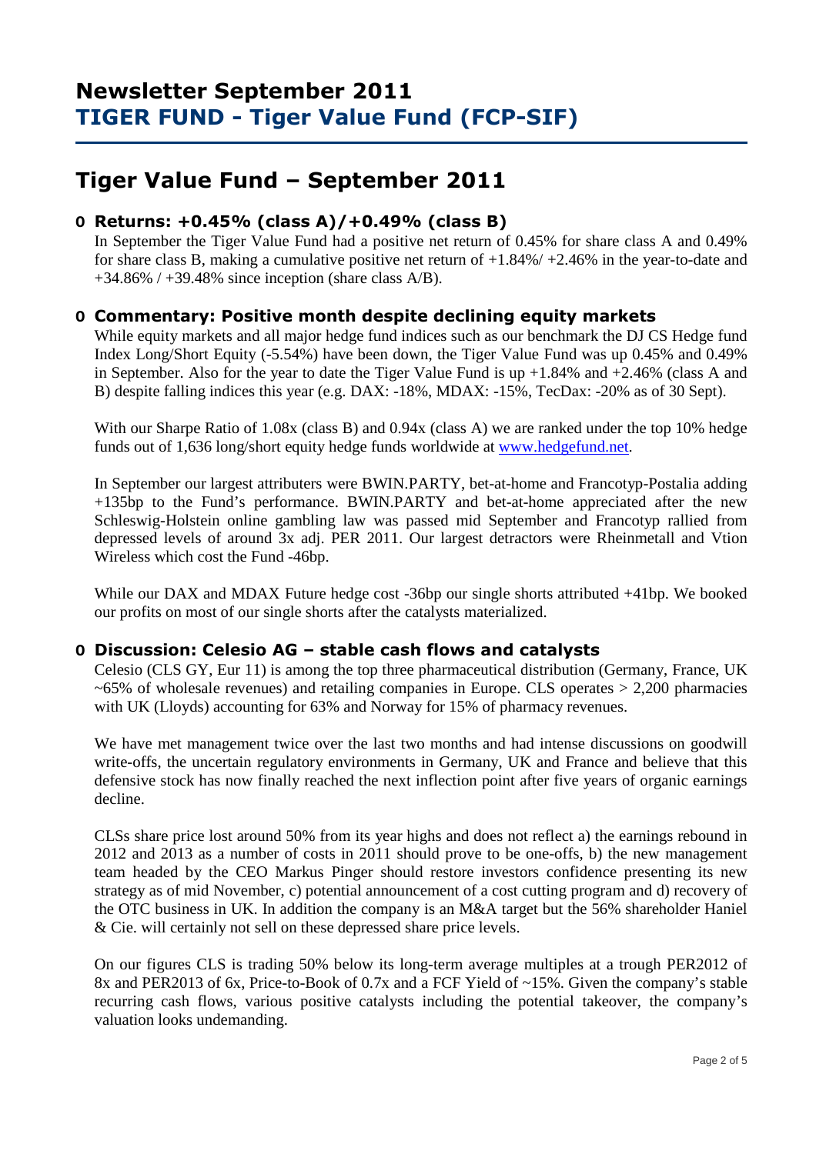# **Tiger Value Fund – September 2011**

## **O Returns: +0.45% (class A)/+0.49% (class B)**

 In September the Tiger Value Fund had a positive net return of 0.45% for share class A and 0.49% for share class B, making a cumulative positive net return of +1.84%/ +2.46% in the year-to-date and  $+34.86\%$  /  $+39.48\%$  since inception (share class A/B).

## **O Commentary: Positive month despite declining equity markets**

While equity markets and all major hedge fund indices such as our benchmark the DJ CS Hedge fund Index Long/Short Equity (-5.54%) have been down, the Tiger Value Fund was up 0.45% and 0.49% in September. Also for the year to date the Tiger Value Fund is up  $+1.84\%$  and  $+2.46\%$  (class A and B) despite falling indices this year (e.g. DAX: -18%, MDAX: -15%, TecDax: -20% as of 30 Sept).

With our Sharpe Ratio of 1.08x (class B) and 0.94x (class A) we are ranked under the top 10% hedge funds out of 1,636 long/short equity hedge funds worldwide at www.hedgefund.net.

In September our largest attributers were BWIN.PARTY, bet-at-home and Francotyp-Postalia adding +135bp to the Fund's performance. BWIN.PARTY and bet-at-home appreciated after the new Schleswig-Holstein online gambling law was passed mid September and Francotyp rallied from depressed levels of around 3x adj. PER 2011. Our largest detractors were Rheinmetall and Vtion Wireless which cost the Fund -46bp.

While our DAX and MDAX Future hedge cost -36bp our single shorts attributed +41bp. We booked our profits on most of our single shorts after the catalysts materialized.

## **O Discussion: Celesio AG – stable cash flows and catalysts**

Celesio (CLS GY, Eur 11) is among the top three pharmaceutical distribution (Germany, France, UK  $\sim 65\%$  of wholesale revenues) and retailing companies in Europe. CLS operates  $> 2,200$  pharmacies with UK (Lloyds) accounting for 63% and Norway for 15% of pharmacy revenues.

We have met management twice over the last two months and had intense discussions on goodwill write-offs, the uncertain regulatory environments in Germany, UK and France and believe that this defensive stock has now finally reached the next inflection point after five years of organic earnings decline.

CLSs share price lost around 50% from its year highs and does not reflect a) the earnings rebound in 2012 and 2013 as a number of costs in 2011 should prove to be one-offs, b) the new management team headed by the CEO Markus Pinger should restore investors confidence presenting its new strategy as of mid November, c) potential announcement of a cost cutting program and d) recovery of the OTC business in UK. In addition the company is an M&A target but the 56% shareholder Haniel & Cie. will certainly not sell on these depressed share price levels.

On our figures CLS is trading 50% below its long-term average multiples at a trough PER2012 of 8x and PER2013 of 6x, Price-to-Book of 0.7x and a FCF Yield of ~15%. Given the company's stable recurring cash flows, various positive catalysts including the potential takeover, the company's valuation looks undemanding.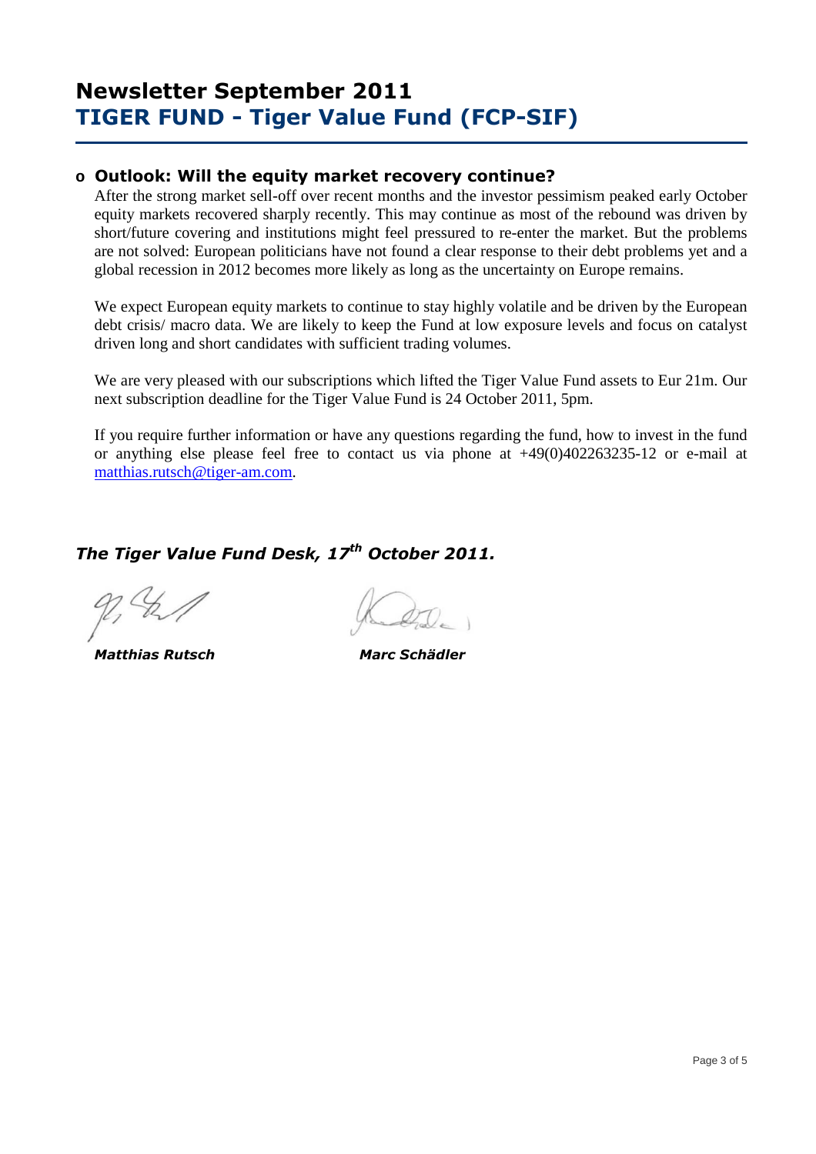### **o Outlook: Will the equity market recovery continue?**

After the strong market sell-off over recent months and the investor pessimism peaked early October equity markets recovered sharply recently. This may continue as most of the rebound was driven by short/future covering and institutions might feel pressured to re-enter the market. But the problems are not solved: European politicians have not found a clear response to their debt problems yet and a global recession in 2012 becomes more likely as long as the uncertainty on Europe remains.

We expect European equity markets to continue to stay highly volatile and be driven by the European debt crisis/ macro data. We are likely to keep the Fund at low exposure levels and focus on catalyst driven long and short candidates with sufficient trading volumes.

We are very pleased with our subscriptions which lifted the Tiger Value Fund assets to Eur 21m. Our next subscription deadline for the Tiger Value Fund is 24 October 2011, 5pm.

If you require further information or have any questions regarding the fund, how to invest in the fund or anything else please feel free to contact us via phone at +49(0)402263235-12 or e-mail at matthias.rutsch@tiger-am.com.

## *The Tiger Value Fund Desk, 17th October 2011.*

 *Matthias Rutsch Marc Schädler*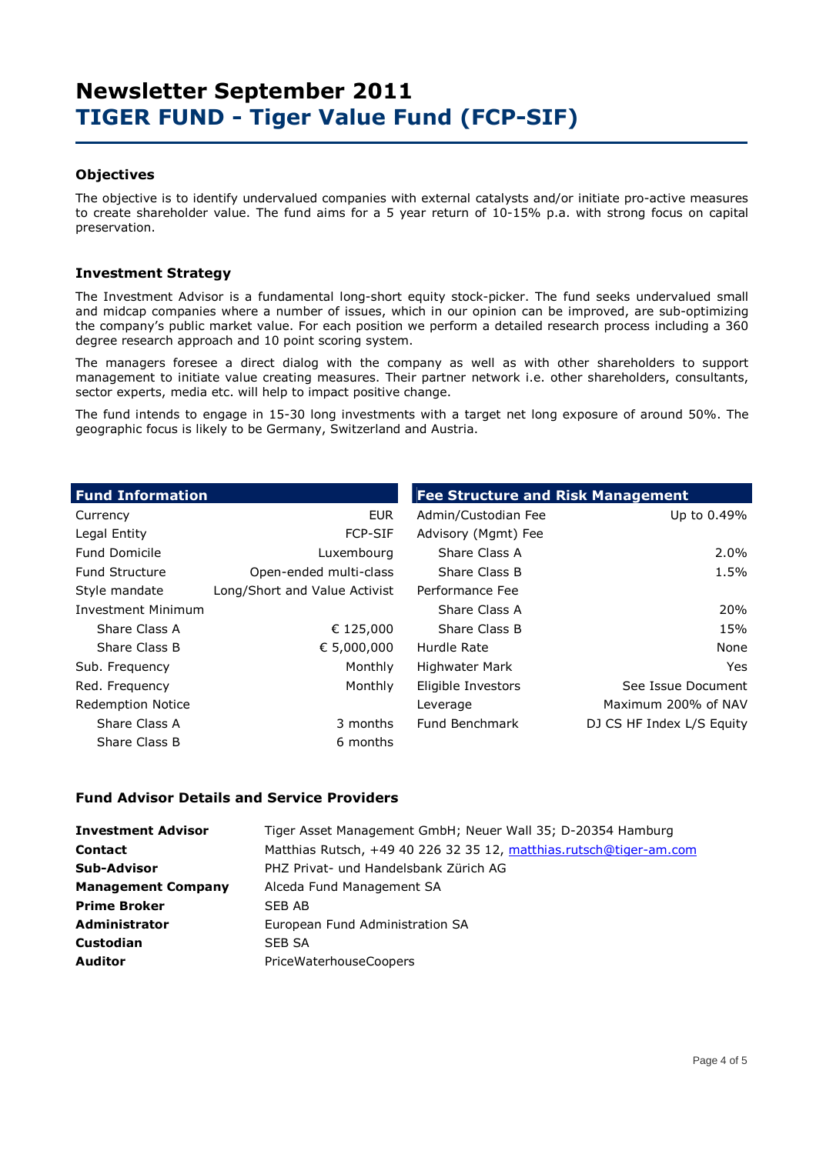### **Objectives**

The objective is to identify undervalued companies with external catalysts and/or initiate pro-active measures to create shareholder value. The fund aims for a 5 year return of 10-15% p.a. with strong focus on capital preservation.

### **Investment Strategy**

The Investment Advisor is a fundamental long-short equity stock-picker. The fund seeks undervalued small and midcap companies where a number of issues, which in our opinion can be improved, are sub-optimizing the company's public market value. For each position we perform a detailed research process including a 360 degree research approach and 10 point scoring system.

The managers foresee a direct dialog with the company as well as with other shareholders to support management to initiate value creating measures. Their partner network i.e. other shareholders, consultants, sector experts, media etc. will help to impact positive change.

The fund intends to engage in 15-30 long investments with a target net long exposure of around 50%. The geographic focus is likely to be Germany, Switzerland and Austria.

| <b>Fund Information</b>   |                               | <b>Fee Structure and Risk Management</b> |                           |  |  |  |  |
|---------------------------|-------------------------------|------------------------------------------|---------------------------|--|--|--|--|
| Currency                  | <b>EUR</b>                    | Admin/Custodian Fee                      | Up to 0.49%               |  |  |  |  |
| Legal Entity              | <b>FCP-SIF</b>                | Advisory (Mgmt) Fee                      |                           |  |  |  |  |
| <b>Fund Domicile</b>      | Luxembourg                    | Share Class A                            | 2.0%                      |  |  |  |  |
| <b>Fund Structure</b>     | Open-ended multi-class        | Share Class B                            | 1.5%                      |  |  |  |  |
| Style mandate             | Long/Short and Value Activist | Performance Fee                          |                           |  |  |  |  |
| <b>Investment Minimum</b> |                               | Share Class A                            | 20%                       |  |  |  |  |
| Share Class A             | € 125,000                     | Share Class B                            | 15%                       |  |  |  |  |
| Share Class B             | € 5,000,000                   | Hurdle Rate                              | None                      |  |  |  |  |
| Sub. Frequency            | Monthly                       | Highwater Mark                           | Yes.                      |  |  |  |  |
| Red. Frequency            | Monthly                       | Eligible Investors                       | See Issue Document        |  |  |  |  |
| <b>Redemption Notice</b>  |                               | Leverage                                 | Maximum 200% of NAV       |  |  |  |  |
| Share Class A             | 3 months                      | Fund Benchmark                           | DJ CS HF Index L/S Equity |  |  |  |  |
| Share Class B             | 6 months                      |                                          |                           |  |  |  |  |

#### **Fund Advisor Details and Service Providers**

| <b>Investment Advisor</b> | Tiger Asset Management GmbH; Neuer Wall 35; D-20354 Hamburg        |
|---------------------------|--------------------------------------------------------------------|
| <b>Contact</b>            | Matthias Rutsch, +49 40 226 32 35 12, matthias.rutsch@tiger-am.com |
| <b>Sub-Advisor</b>        | PHZ Privat- und Handelsbank Zürich AG                              |
| <b>Management Company</b> | Alceda Fund Management SA                                          |
| <b>Prime Broker</b>       | SEB AB                                                             |
| <b>Administrator</b>      | European Fund Administration SA                                    |
| <b>Custodian</b>          | SEB SA                                                             |
| <b>Auditor</b>            | <b>PriceWaterhouseCoopers</b>                                      |